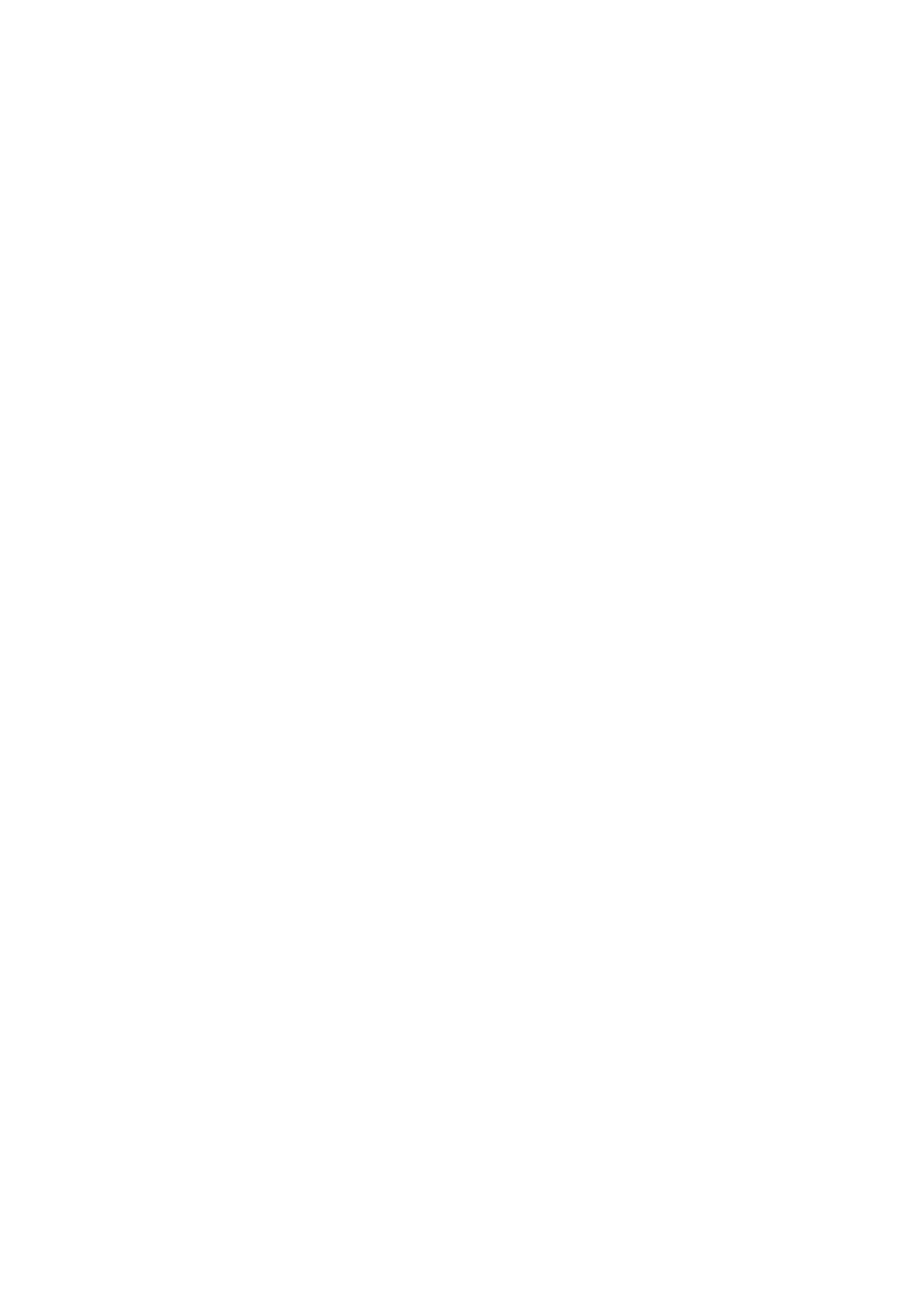**Longbing Cao Yong Feng** Jiang Zhong (Eds.)

# **Advanced Data Mining** and Applications

6th International Conference, ADMA 2010 Chongqing, China, November 2010 Proceedings, Part I

Part I

**INAI 6440** 

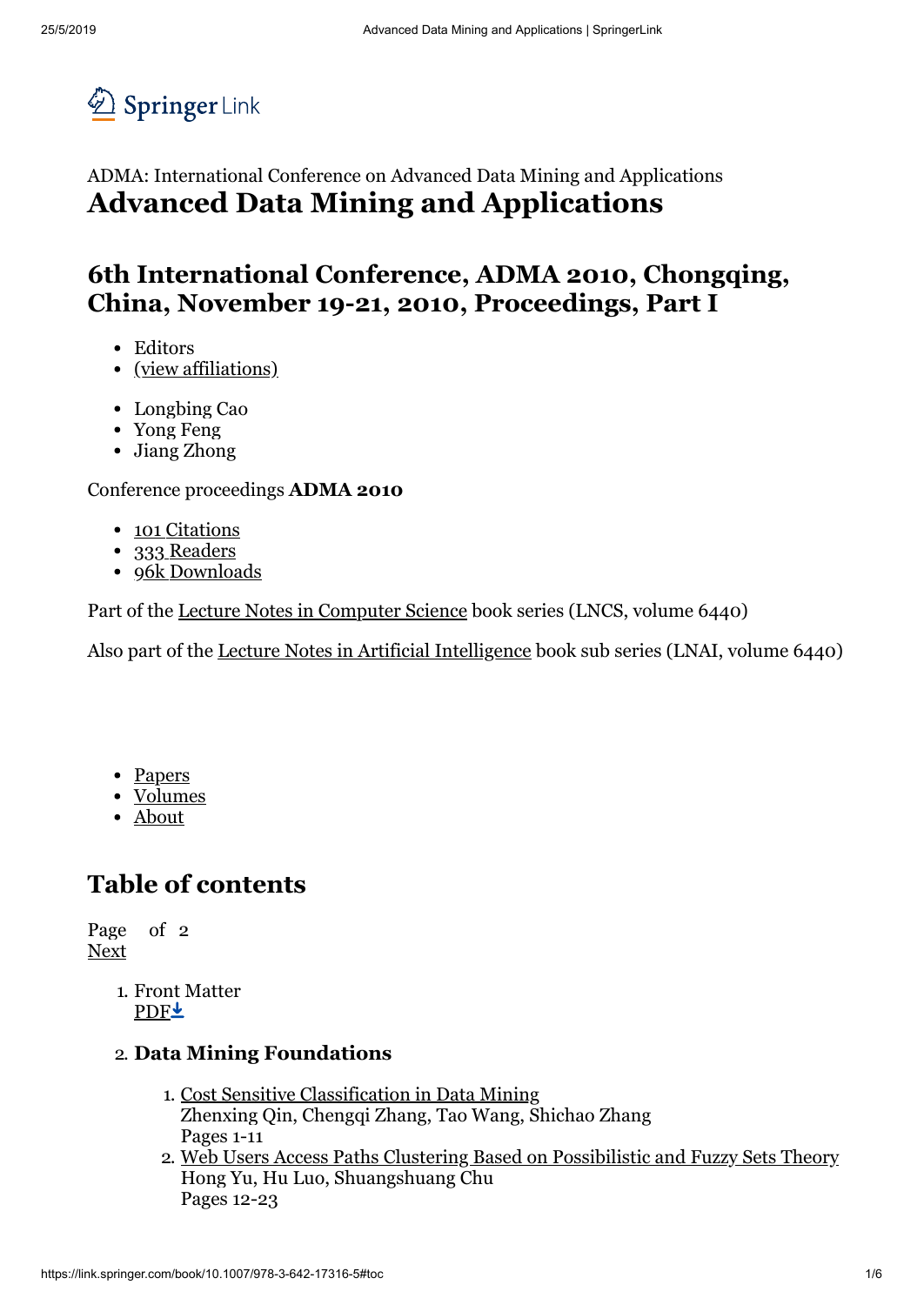

ADMA: [International Conference on Advanced Data Mining and Applications](https://link.springer.com/conference/adma) **Advanced Data Mining and Applications**

# **6th International Conference, ADMA 2010, Chongqing, China, November 19-21, 2010, Proceedings, Part I**

- Editors
- (view affiliations)
- Longbing Cao
- Yong Feng
- Jiang Zhong

Conference proceedings **ADMA 2010**

- 101 [Citations](http://www.bookmetrix.com/detail/book/12b3d520-69ff-4447-99f5-897e6cc50bce#citations)
- 333 [Readers](http://www.bookmetrix.com/detail/book/12b3d520-69ff-4447-99f5-897e6cc50bce#readers)
- 96k [Downloads](http://www.bookmetrix.com/detail/book/12b3d520-69ff-4447-99f5-897e6cc50bce#downloads)

Part of the [Lecture Notes in Computer Science](https://link.springer.com/bookseries/558) book series (LNCS, volume 6440)

Also part of the [Lecture Notes in Artificial Intelligence](http://springer.com/series/1244) book sub series (LNAI, volume 6440)

- Papers
- Volumes
- About

# **Table of contents**

Page of 2 [Next](https://link.springer.com/book/10.1007/978-3-642-17316-5?page=2#toc)

> 1. Front Matter [PDF](https://link.springer.com/content/pdf/bfm%3A978-3-642-17316-5%2F1.pdf)<sup>+</sup>

## 2. **Data Mining Foundations**

- 1. [Cost Sensitive Classification in Data Mining](https://link.springer.com/chapter/10.1007/978-3-642-17316-5_1) Zhenxing Qin, Chengqi Zhang, Tao Wang, Shichao Zhang Pages 1-11
- 2. [Web Users Access Paths Clustering Based on Possibilistic and Fuzzy Sets Theory](https://link.springer.com/chapter/10.1007/978-3-642-17316-5_2) Hong Yu, Hu Luo, Shuangshuang Chu Pages 12-23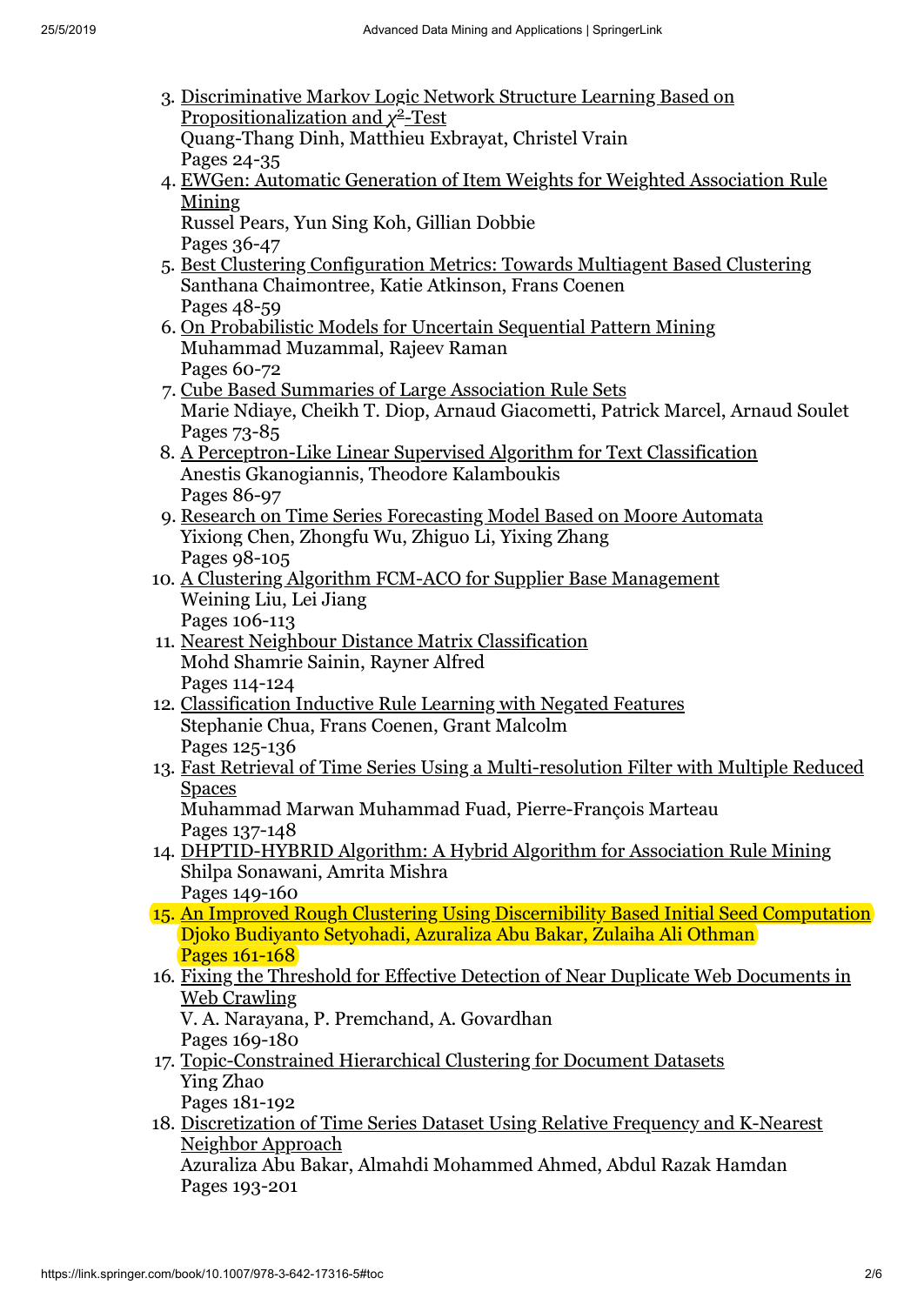| 3. Discriminative Markov Logic Network Structure Learning Based on                      |
|-----------------------------------------------------------------------------------------|
| <u>Propositionalization and <math>\chi^2</math>-Test</u>                                |
| Quang-Thang Dinh, Matthieu Exbrayat, Christel Vrain                                     |
| Pages 24-35                                                                             |
| 4. EWGen: Automatic Generation of Item Weights for Weighted Association Rule            |
| Mining                                                                                  |
| Russel Pears, Yun Sing Koh, Gillian Dobbie                                              |
| Pages 36-47                                                                             |
| 5. Best Clustering Configuration Metrics: Towards Multiagent Based Clustering           |
| Santhana Chaimontree, Katie Atkinson, Frans Coenen                                      |
| Pages 48-59                                                                             |
| 6. On Probabilistic Models for Uncertain Sequential Pattern Mining                      |
| Muhammad Muzammal, Rajeev Raman                                                         |
| Pages 60-72                                                                             |
| 7. Cube Based Summaries of Large Association Rule Sets                                  |
| Marie Ndiaye, Cheikh T. Diop, Arnaud Giacometti, Patrick Marcel, Arnaud Soulet          |
| Pages 73-85                                                                             |
| 8. A Perceptron-Like Linear Supervised Algorithm for Text Classification                |
| Anestis Gkanogiannis, Theodore Kalamboukis                                              |
| Pages 86-97                                                                             |
| 9. Research on Time Series Forecasting Model Based on Moore Automata                    |
| Yixiong Chen, Zhongfu Wu, Zhiguo Li, Yixing Zhang                                       |
| Pages 98-105                                                                            |
| 10. A Clustering Algorithm FCM-ACO for Supplier Base Management                         |
| Weining Liu, Lei Jiang                                                                  |
| Pages 106-113                                                                           |
| 11. Nearest Neighbour Distance Matrix Classification                                    |
| Mohd Shamrie Sainin, Rayner Alfred                                                      |
| Pages 114-124                                                                           |
| 12. Classification Inductive Rule Learning with Negated Features                        |
| Stephanie Chua, Frans Coenen, Grant Malcolm                                             |
| Pages 125-136                                                                           |
| 13. Fast Retrieval of Time Series Using a Multi-resolution Filter with Multiple Reduced |
| <b>Spaces</b>                                                                           |
| Muhammad Marwan Muhammad Fuad, Pierre-François Marteau                                  |
| Pages 137-148                                                                           |
| 14. DHPTID-HYBRID Algorithm: A Hybrid Algorithm for Association Rule Mining             |
| Shilpa Sonawani, Amrita Mishra                                                          |
| Pages 149-160                                                                           |
| 15. An Improved Rough Clustering Using Discernibility Based Initial Seed Computation    |
| Djoko Budiyanto Setyohadi, Azuraliza Abu Bakar, Zulaiha Ali Othman                      |
| Pages 161-168                                                                           |
| 16. Fixing the Threshold for Effective Detection of Near Duplicate Web Documents in     |
| <b>Web Crawling</b>                                                                     |
| V. A. Narayana, P. Premchand, A. Govardhan                                              |
| Pages 169-180                                                                           |
| 17. Topic-Constrained Hierarchical Clustering for Document Datasets                     |
| Ying Zhao                                                                               |
| Pages 181-192                                                                           |
| 18. Discretization of Time Series Dataset Using Relative Frequency and K-Nearest        |
| <u>Neighbor Approach</u>                                                                |
| Azuraliza Abu Bakar, Almahdi Mohammed Ahmed, Abdul Razak Hamdan                         |
| Pages 193-201                                                                           |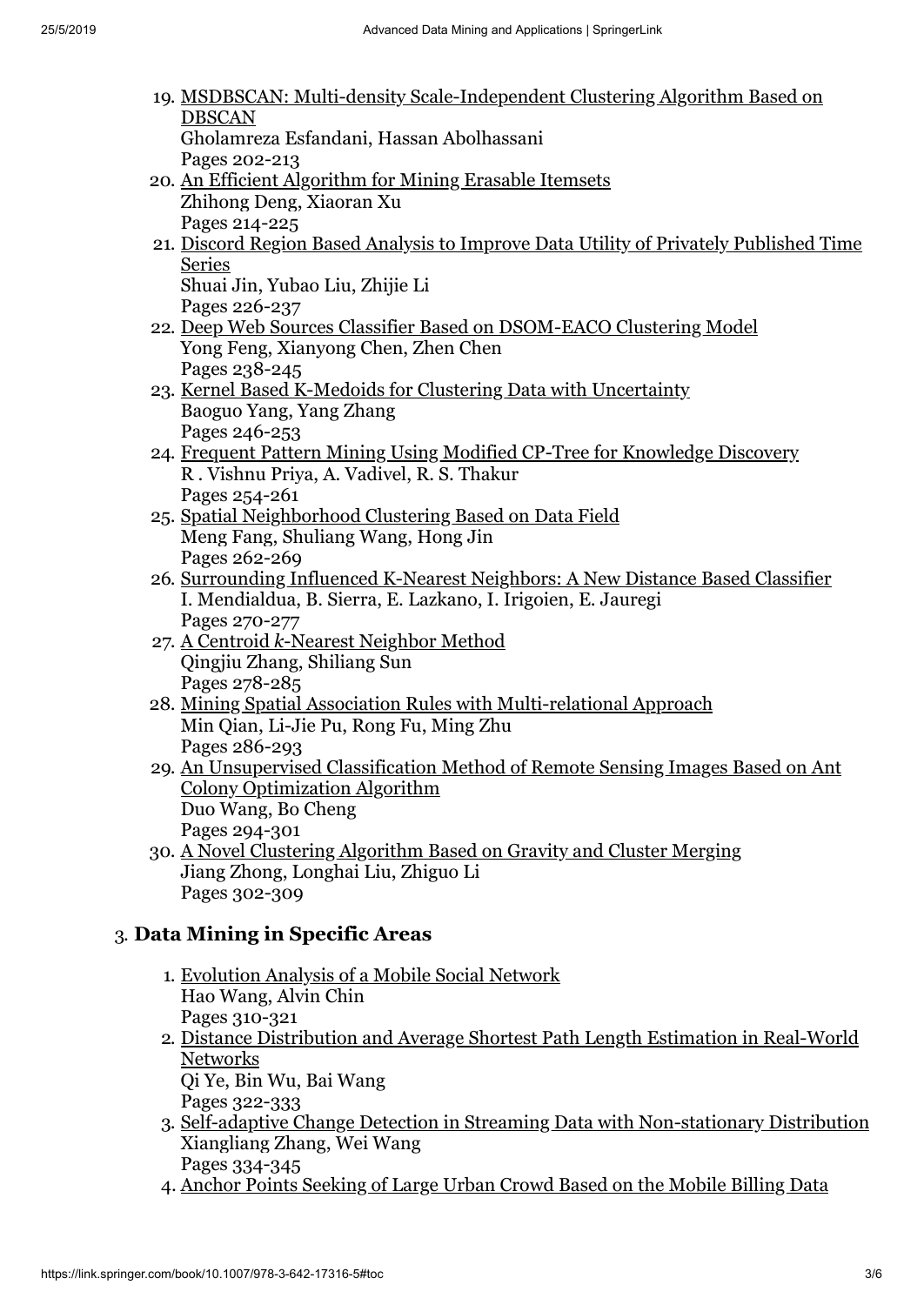| 19. MSDBSCAN: Multi-density Scale-Independent Clustering Algorithm Based on                                             |
|-------------------------------------------------------------------------------------------------------------------------|
| <b>DBSCAN</b><br>Gholamreza Esfandani, Hassan Abolhassani                                                               |
| Pages 202-213                                                                                                           |
| 20. An Efficient Algorithm for Mining Erasable Itemsets                                                                 |
| Zhihong Deng, Xiaoran Xu                                                                                                |
| Pages 214-225                                                                                                           |
| 21. Discord Region Based Analysis to Improve Data Utility of Privately Published Time                                   |
| <b>Series</b>                                                                                                           |
| Shuai Jin, Yubao Liu, Zhijie Li                                                                                         |
| Pages 226-237                                                                                                           |
| 22. Deep Web Sources Classifier Based on DSOM-EACO Clustering Model                                                     |
| Yong Feng, Xianyong Chen, Zhen Chen                                                                                     |
| Pages 238-245                                                                                                           |
| 23. Kernel Based K-Medoids for Clustering Data with Uncertainty                                                         |
| Baoguo Yang, Yang Zhang                                                                                                 |
| Pages 246-253                                                                                                           |
| 24. Frequent Pattern Mining Using Modified CP-Tree for Knowledge Discovery<br>R. Vishnu Priya, A. Vadivel, R. S. Thakur |
| Pages 254-261                                                                                                           |
| 25. Spatial Neighborhood Clustering Based on Data Field                                                                 |
| Meng Fang, Shuliang Wang, Hong Jin                                                                                      |
| Pages 262-269                                                                                                           |
| 26. Surrounding Influenced K-Nearest Neighbors: A New Distance Based Classifier                                         |
| I. Mendialdua, B. Sierra, E. Lazkano, I. Irigoien, E. Jauregi                                                           |
| Pages 270-277                                                                                                           |
| 27. A Centroid k-Nearest Neighbor Method                                                                                |
| Qingjiu Zhang, Shiliang Sun                                                                                             |
| Pages 278-285                                                                                                           |
| 28. Mining Spatial Association Rules with Multi-relational Approach                                                     |
| Min Qian, Li-Jie Pu, Rong Fu, Ming Zhu                                                                                  |
| Pages 286-293                                                                                                           |
| 29. An Unsupervised Classification Method of Remote Sensing Images Based on Ant                                         |
| <b>Colony Optimization Algorithm</b>                                                                                    |
| Duo Wang, Bo Cheng                                                                                                      |
| Pages 294-301                                                                                                           |
| 30. A Novel Clustering Algorithm Based on Gravity and Cluster Merging                                                   |
| Jiang Zhong, Longhai Liu, Zhiguo Li                                                                                     |
| Pages 302-309                                                                                                           |
|                                                                                                                         |

## 3. **Data Mining in Specific Areas**

- 1. [Evolution Analysis of a Mobile Social Network](https://link.springer.com/chapter/10.1007/978-3-642-17316-5_31) Hao Wang, Alvin Chin Pages 310-321
- 2. [Distance Distribution and Average Shortest Path Length Estimation in Real-World](https://link.springer.com/chapter/10.1007/978-3-642-17316-5_32) **Networks** Qi Ye, Bin Wu, Bai Wang
	- Pages 322-333
- 3. [Self-adaptive Change Detection in Streaming Data with Non-stationary Distribution](https://link.springer.com/chapter/10.1007/978-3-642-17316-5_33) Xiangliang Zhang, Wei Wang Pages 334-345
- 4. [Anchor Points Seeking of Large Urban Crowd Based on the Mobile Billing Data](https://link.springer.com/chapter/10.1007/978-3-642-17316-5_34)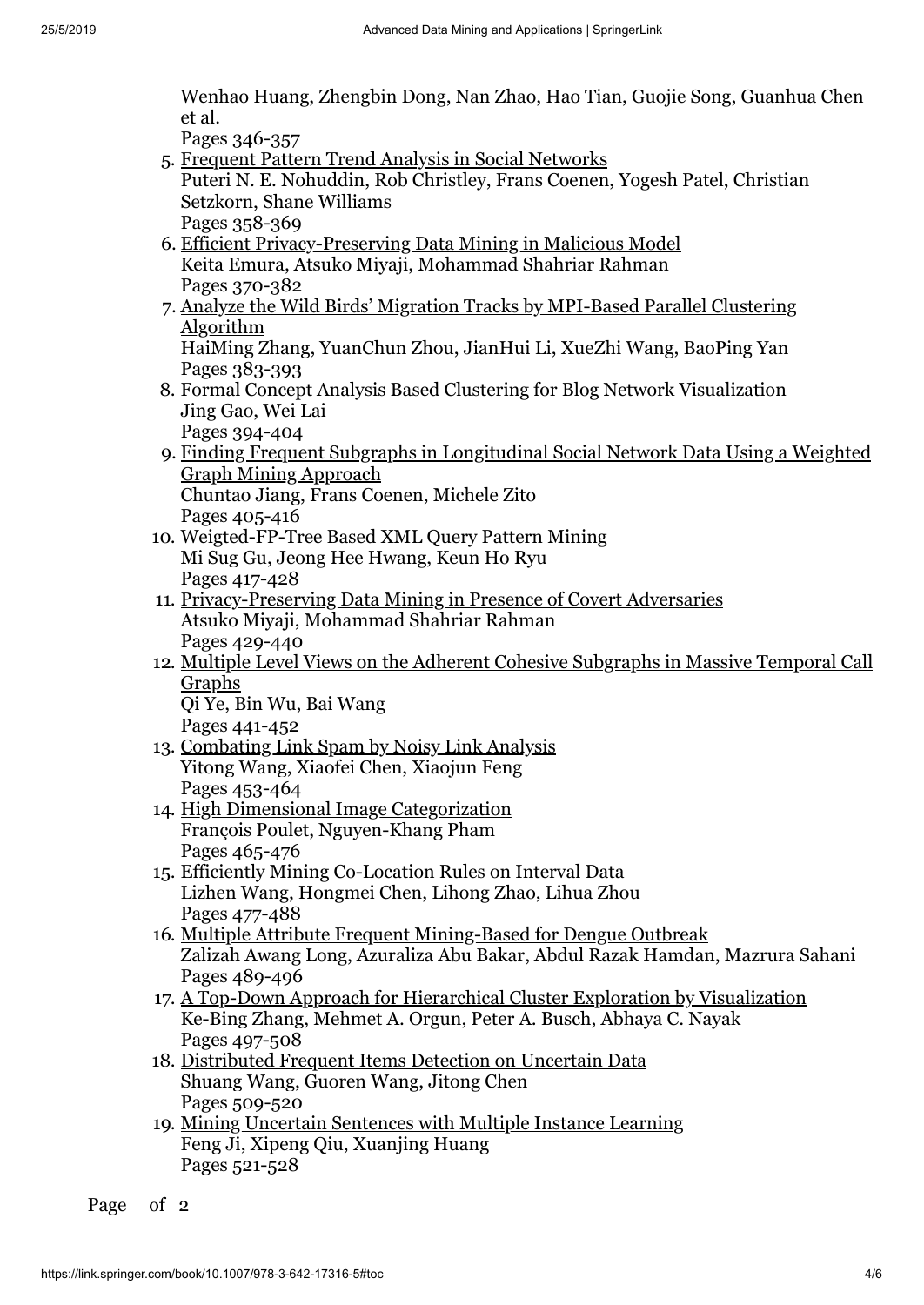Wenhao Huang, Zhengbin Dong, Nan Zhao, Hao Tian, Guojie Song, Guanhua Chen et al.

Pages 346-357

5. [Frequent Pattern Trend Analysis in Social Networks](https://link.springer.com/chapter/10.1007/978-3-642-17316-5_35)

Puteri N. E. Nohuddin, Rob Christley, Frans Coenen, Yogesh Patel, Christian Setzkorn, Shane Williams Pages 358-369

- 6. [Efficient Privacy-Preserving Data Mining in Malicious Model](https://link.springer.com/chapter/10.1007/978-3-642-17316-5_36) Keita Emura, Atsuko Miyaji, Mohammad Shahriar Rahman Pages 370-382
- 7. [Analyze the Wild Birds' Migration Tracks by MPI-Based Parallel Clustering](https://link.springer.com/chapter/10.1007/978-3-642-17316-5_37) Algorithm

HaiMing Zhang, YuanChun Zhou, JianHui Li, XueZhi Wang, BaoPing Yan Pages 383-393

- 8. [Formal Concept Analysis Based Clustering for Blog Network Visualization](https://link.springer.com/chapter/10.1007/978-3-642-17316-5_38) Jing Gao, Wei Lai Pages 394-404
- 9. [Finding Frequent Subgraphs in Longitudinal Social Network Data Using a Weighted](https://link.springer.com/chapter/10.1007/978-3-642-17316-5_39) Graph Mining Approach Chuntao Jiang, Frans Coenen, Michele Zito Pages 405-416
- 10. [Weigted-FP-Tree Based XML Query Pattern Mining](https://link.springer.com/chapter/10.1007/978-3-642-17316-5_40) Mi Sug Gu, Jeong Hee Hwang, Keun Ho Ryu Pages 417-428
- 11. [Privacy-Preserving Data Mining in Presence of Covert Adversaries](https://link.springer.com/chapter/10.1007/978-3-642-17316-5_41) Atsuko Miyaji, Mohammad Shahriar Rahman Pages 429-440
- 12. [Multiple Level Views on the Adherent Cohesive Subgraphs in Massive Temporal Call](https://link.springer.com/chapter/10.1007/978-3-642-17316-5_42) Graphs

Qi Ye, Bin Wu, Bai Wang Pages 441-452

- 13. [Combating Link Spam by Noisy Link Analysis](https://link.springer.com/chapter/10.1007/978-3-642-17316-5_43) Yitong Wang, Xiaofei Chen, Xiaojun Feng Pages 453-464
- 14. [High Dimensional Image Categorization](https://link.springer.com/chapter/10.1007/978-3-642-17316-5_44) François Poulet, Nguyen-Khang Pham Pages 465-476
- 15. [Efficiently Mining Co-Location Rules on Interval Data](https://link.springer.com/chapter/10.1007/978-3-642-17316-5_45) Lizhen Wang, Hongmei Chen, Lihong Zhao, Lihua Zhou Pages 477-488
- 16. [Multiple Attribute Frequent Mining-Based for Dengue Outbreak](https://link.springer.com/chapter/10.1007/978-3-642-17316-5_46) Zalizah Awang Long, Azuraliza Abu Bakar, Abdul Razak Hamdan, Mazrura Sahani Pages 489-496
- 17. [A Top-Down Approach for Hierarchical Cluster Exploration by Visualization](https://link.springer.com/chapter/10.1007/978-3-642-17316-5_47) Ke-Bing Zhang, Mehmet A. Orgun, Peter A. Busch, Abhaya C. Nayak Pages 497-508
- 18. [Distributed Frequent Items Detection on Uncertain Data](https://link.springer.com/chapter/10.1007/978-3-642-17316-5_48) Shuang Wang, Guoren Wang, Jitong Chen Pages 509-520
- 19. [Mining Uncertain Sentences with Multiple Instance Learning](https://link.springer.com/chapter/10.1007/978-3-642-17316-5_49) Feng Ji, Xipeng Qiu, Xuanjing Huang Pages 521-528

Page of 2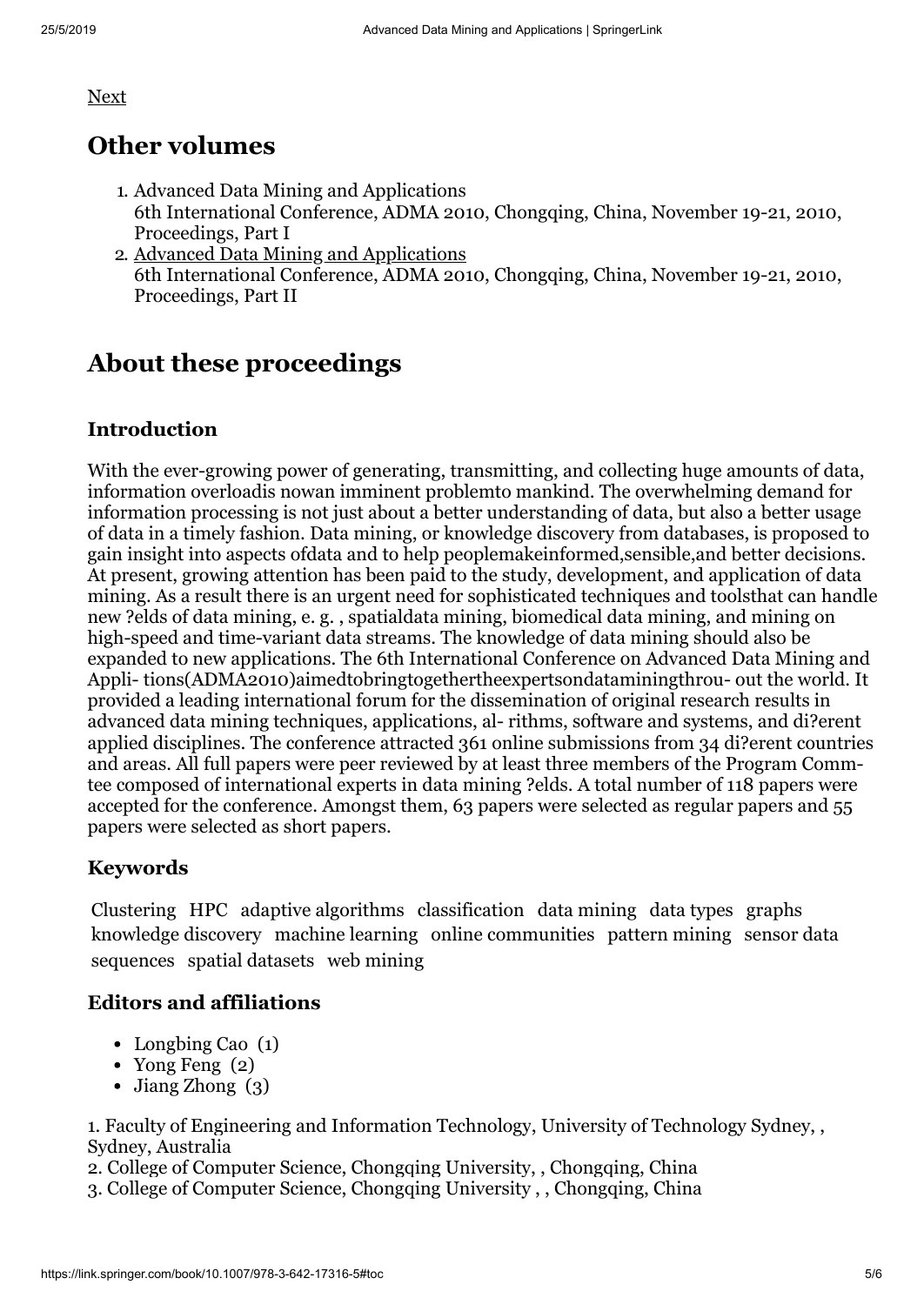[Next](https://link.springer.com/book/10.1007/978-3-642-17316-5?page=2#toc)

## **Other volumes**

- 1. Advanced Data Mining and Applications 6th International Conference, ADMA 2010, Chongqing, China, November 19-21, 2010, Proceedings, Part I
- 2. [Advanced Data Mining and Applications](https://link.springer.com/book/10.1007/978-3-642-17313-4) 6th International Conference, ADMA 2010, Chongqing, China, November 19-21, 2010, Proceedings, Part II

## **About these proceedings**

#### **Introduction**

With the ever-growing power of generating, transmitting, and collecting huge amounts of data, information overloadis nowan imminent problemto mankind. The overwhelming demand for information processing is not just about a better understanding of data, but also a better usage of data in a timely fashion. Data mining, or knowledge discovery from databases, is proposed to gain insight into aspects ofdata and to help peoplemakeinformed,sensible,and better decisions. At present, growing attention has been paid to the study, development, and application of data mining. As a result there is an urgent need for sophisticated techniques and toolsthat can handle new ?elds of data mining, e. g. , spatialdata mining, biomedical data mining, and mining on high-speed and time-variant data streams. The knowledge of data mining should also be expanded to new applications. The 6th International Conference on Advanced Data Mining and Appli- tions(ADMA2010)aimedtobringtogethertheexpertsondataminingthrou- out the world. It provided a leading international forum for the dissemination of original research results in advanced data mining techniques, applications, al- rithms, software and systems, and di?erent applied disciplines. The conference attracted 361 online submissions from 34 di?erent countries and areas. All full papers were peer reviewed by at least three members of the Program Commtee composed of international experts in data mining ?elds. A total number of 118 papers were accepted for the conference. Amongst them, 63 papers were selected as regular papers and 55 papers were selected as short papers.

## **Keywords**

Clustering HPC adaptive algorithms classification data mining data types graphs knowledge discovery machine learning online communities pattern mining sensor data sequences spatial datasets web mining

#### **Editors and affiliations**

- Longbing Cao (1)
- Yong Feng (2)
- Jiang Zhong (3)

1. Faculty of Engineering and Information Technology, University of Technology Sydney, , Sydney, Australia

2. College of Computer Science, Chongqing University, , Chongqing, China

3. College of Computer Science, Chongqing University , , Chongqing, China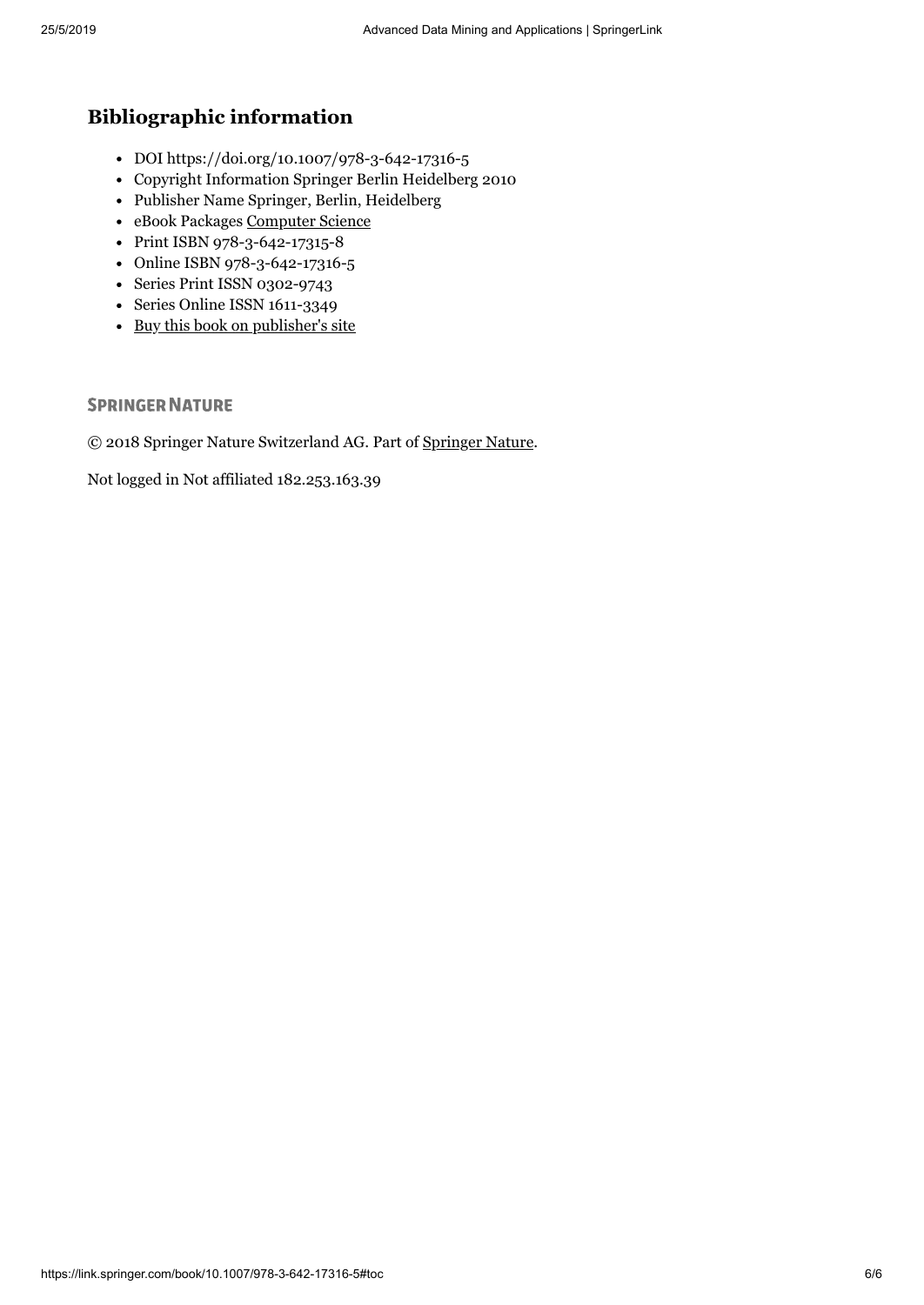## **Bibliographic information**

- DOI https://doi.org/10.1007/978-3-642-17316-5
- Copyright Information Springer Berlin Heidelberg 2010
- Publisher Name Springer, Berlin, Heidelberg
- eBook Packages [Computer](https://link.springer.com/search?facet-content-type=%22Book%22&package=11645&facet-start-year=2010&facet-end-year=2010) Science
- Print ISBN 978-3-642-17315-8
- Online ISBN 978-3-642-17316-5
- Series Print ISSN 0302-9743
- Series Online ISSN 1611-3349
- Buy this book on [publisher's](https://www.springer.com/978-3-642-17316-5?wt_mc=ThirdParty.SpringerLink.3.EPR653.About_eBook) site

#### **SPRINGER NATURE**

© 2018 Springer Nature Switzerland AG. Part of [Springer](https://www.springernature.com/) Nature.

Not logged in Not affiliated 182.253.163.39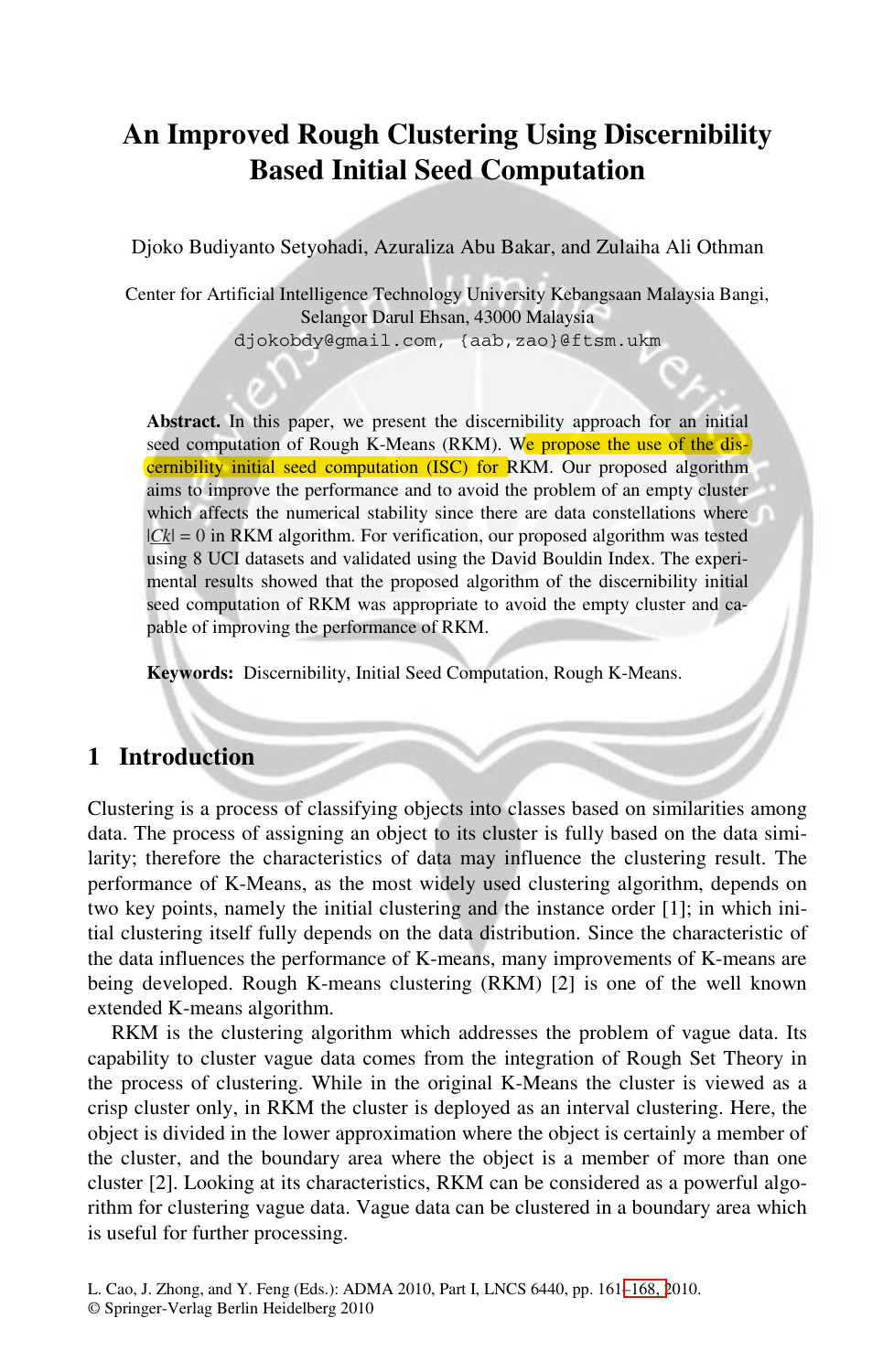#### **An Improved Rough Clustering Using Discernibility Based Initial Seed Computation**

Djoko Budiyanto Setyohadi, Azuraliza Abu Bakar, and Zulaiha Ali Othman

Center for Artificial Intelligence Technology University Kebangsaan Malaysia Bangi, Selangor Darul Ehsan, 43000 Malaysia

djokobdy@gmail.com, {aab,zao}@ftsm.ukm

**Abstract.** In this paper, we present the discernibility approach for an initial seed computation of Rough K-Means (RKM). We propose the use of the discernibility initial seed computation (ISC) for RKM. Our proposed algorithm aims to improve the performance and to avoid the problem of an empty cluster which affects the numerical stability since there are data constellations where  $|C_k| = 0$  in RKM algorithm. For verification, our proposed algorithm was tested using 8 UCI datasets and validated using the David Bouldin Index. The experimental results showed that the proposed algorithm of the discernibility initial seed computation of RKM was appropriate to avoid the empty cluster and capable of improving the performance of RKM.

**Keywords:** Discernibility, Initial Seed Computation, Rough K-Means.

#### **1 Introduction**

Clustering is a process of classifying objects into classes based on similarities among data. The process of assigning an object to its cluster is fully based on the data similarity; therefore the characteristics of data may influence the clustering result. The performance of K-Means, as the most widely used clustering algorithm, depends on two key points, namely the initial clustering and the instance order [1]; in which initial clustering itself fully depends on the data distribution. Since the characteristic of the data influences the performance of K-means, many improvements of K-means are being developed. Rough K-means clustering (RKM) [2] is one of the well known extended K-means algorithm.

RKM is the clustering algorithm which addresses the problem of vague data. Its capability to cluster vague data comes from the integration of Rough Set Theory in the process of clustering. While in the original K-Means the cluster is viewed as a crisp cluster only, in RKM the cluster is d[eploye](#page-15-0)d as an interval clustering. Here, the object is divided in the lower approximation where the object is certainly a member of the cluster, and the boundary area where the object is a member of more than one cluster [2]. Looking at its characteristics, RKM can be considered as a powerful algorithm for clustering vague data. Vague data can be clustered in a boundary area which is useful for further processing.

L. Cao, J. Zhong, and Y. Feng (Eds.): ADMA 2010, Part I, LNCS 6440, pp. 161–168, 2010.

<sup>©</sup> Springer-Verlag Berlin Heidelberg 2010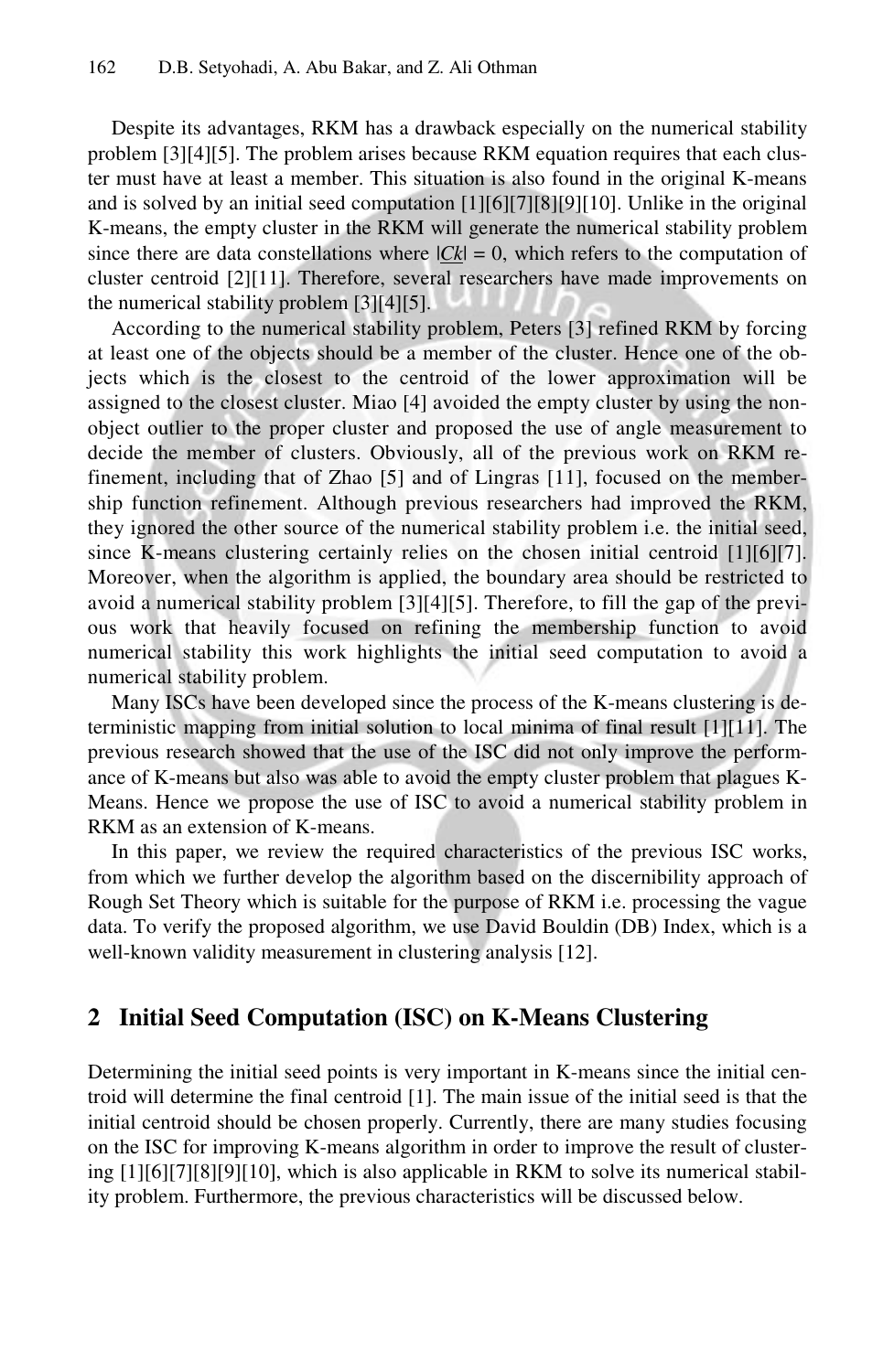Despite its advantages, RKM has a drawback especially on the numerical stability problem [3][4][5]. The problem arises because RKM equation requires that each cluster must have at least a member. This situation is also found in the original K-means and is solved by an initial seed computation [1][6][7][8][9][10]. Unlike in the original K-means, the empty cluster in the RKM will generate the numerical stability problem since there are data constellations where  $|C_k| = 0$ , which refers to the computation of cluster centroid [2][11]. Therefore, several researchers have made improvements on the numerical stability problem [3][4][5].

According to the numerical stability problem, Peters [3] refined RKM by forcing at least one of the objects should be a member of the cluster. Hence one of the objects which is the closest to the centroid of the lower approximation will be assigned to the closest cluster. Miao [4] avoided the empty cluster by using the nonobject outlier to the proper cluster and proposed the use of angle measurement to decide the member of clusters. Obviously, all of the previous work on RKM refinement, including that of Zhao [5] and of Lingras [11], focused on the membership function refinement. Although previous researchers had improved the RKM, they ignored the other source of the numerical stability problem i.e. the initial seed, since K-means clustering certainly relies on the chosen initial centroid [1][6][7]. Moreover, when the algorithm is applied, the boundary area should be restricted to avoid a numerical stability problem [3][4][5]. Therefore, to fill the gap of the previous work that heavily focused on refining the membership function to avoid numerical stability this work highlights the initial seed computation to avoid a numerical stability problem.

Many ISCs have been developed since the process of the K-means clustering is deterministic mapping from initial solution to local minima of final result [1][11]. The previous research showed that the use of the ISC did not only improve the performance of K-means but also was able to avoid the empty cluster problem that plagues K-Means. Hence we propose the use of ISC to avoid a numerical stability problem in RKM as an extension of K-means.

In this paper, we review the required characteristics of the previous ISC works, from which we further develop the algorithm based on the discernibility approach of Rough Set Theory which is suitable for the purpose of RKM i.e. processing the vague data. To verify the proposed algorithm, we use David Bouldin (DB) Index, which is a well-known validity measurement in clustering analysis [12].

#### **2 Initial Seed Computation (ISC) on K-Means Clustering**

Determining the initial seed points is very important in K-means since the initial centroid will determine the final centroid [1]. The main issue of the initial seed is that the initial centroid should be chosen properly. Currently, there are many studies focusing on the ISC for improving K-means algorithm in order to improve the result of clustering [1][6][7][8][9][10], which is also applicable in RKM to solve its numerical stability problem. Furthermore, the previous characteristics will be discussed below.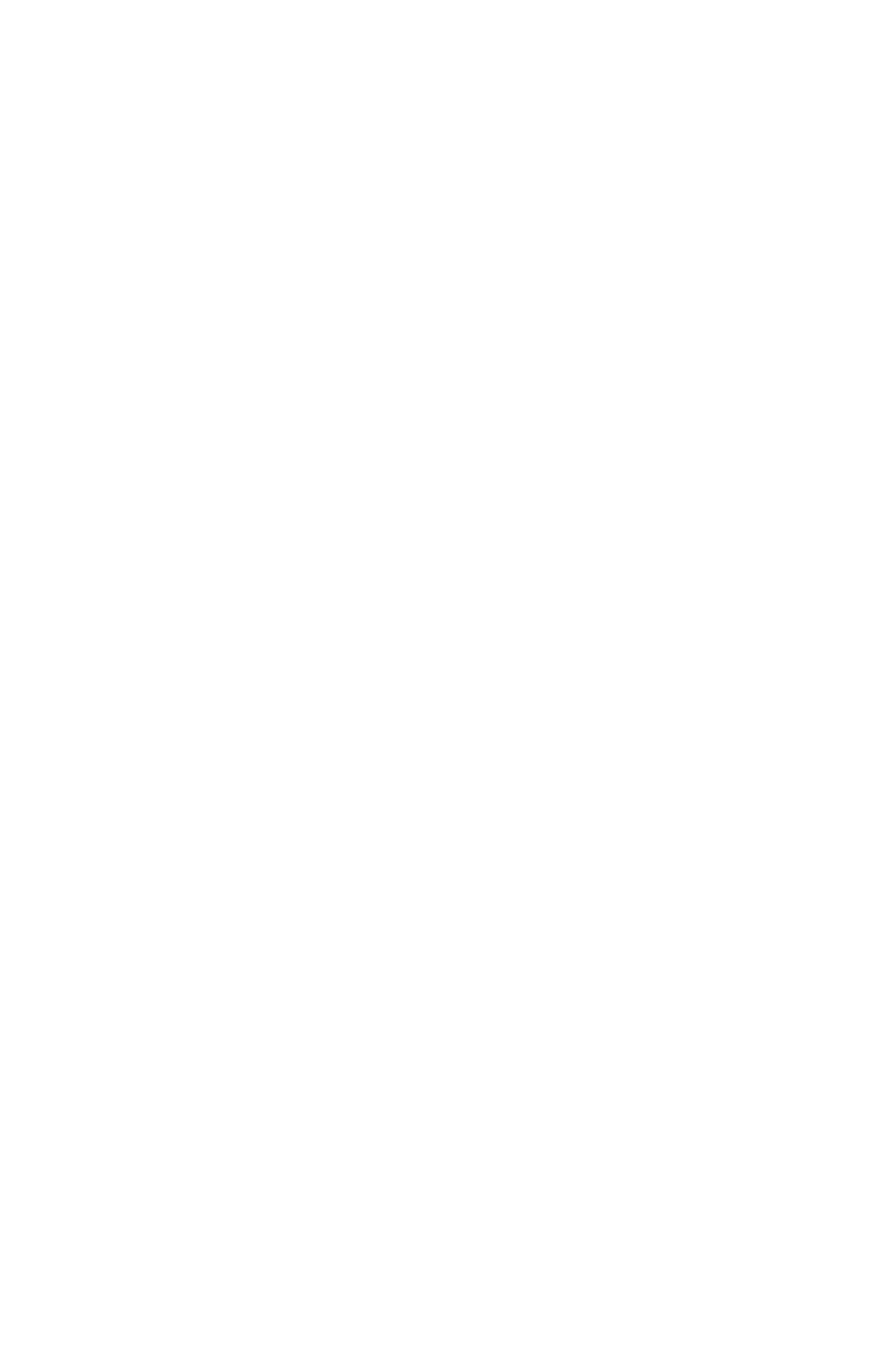$=$ KHQ[LQJ 4LQ &KHQJTL = KDQJ 7DR : DQJ 6 3 D J H V :HE 8VHUV \$FFHVV 3DWKV & OXVWHULQJ %D\

<u>&RVW 6HQVLWLYH &ODVV</u>LILFDWLRQ LQ 'DW

' DWD 0 LQLQJ ) RXQGDWRQV

) URQW ODWWHU  $3')<sup>\frac{1}{2}</sup>$ 

JH R I W

EOHRIFRQWHOW

 $3DSMUV$ 9ROXPHV **SERXW** 

VR SDU<u>/WHFRNXWJKHH1RWHV LQ \$U</u>KB/KRLNFLVDX0E /1\$, YR0

UW RHHFWWKXHUH 1RWHV LQ &ERFPF6NXW /1&6 YROXPH

8LWDWLRQV 5HDGHUV N'RZQORDGV

QIHUHQFH S\$'0\$ LQJV

/RQJELQJ & DR  $<$ RQJ $)$ HQJ  $-LDQJ = KRQJ$ 

(GLWRUV YLHZ DIILOLDWLRQV

(,QWHUQDWRQDO&RQIHUHQFH \$' 0 \$ **&KROJTIQJ** LQD 1 RYHP EHU 3 URFHHGLQJV 3 DUW

\$ .QWHUQDWLRQDO &RQIHUHQFH RQ \$GYDQFHG G YOUFHG' DW DILQLQU DQG \$S SLEDWIRQV